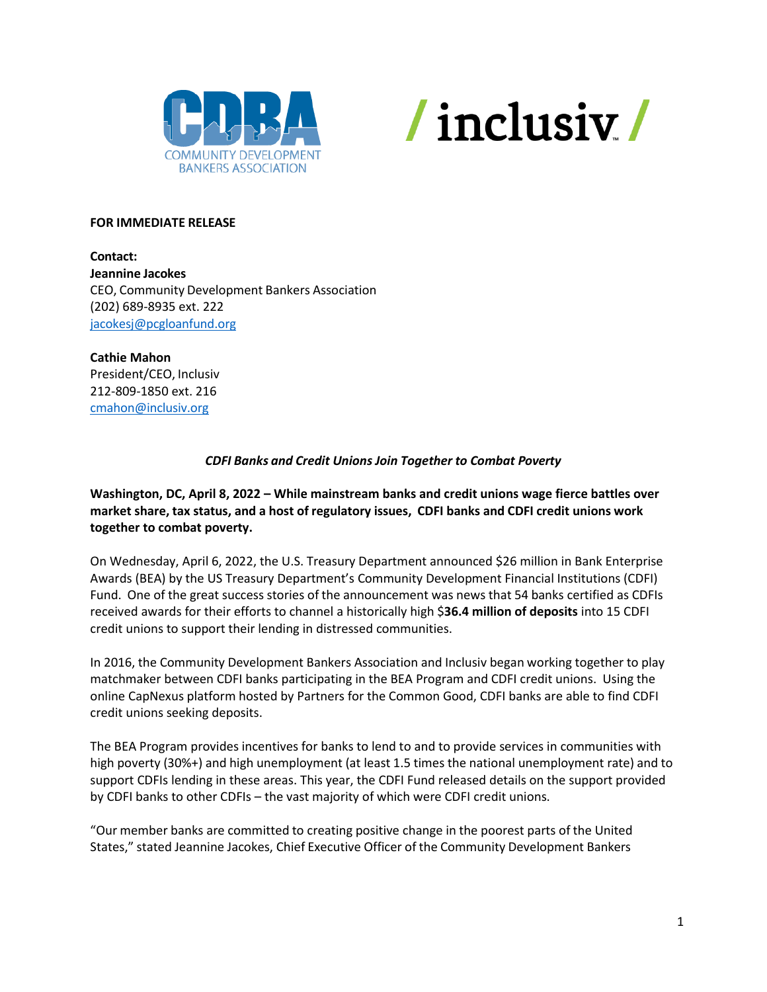



#### **FOR IMMEDIATE RELEASE**

**Contact: Jeannine Jacokes** CEO, Community Development Bankers Association (202) 689-8935 ext. 222 [jacokesj@pcgloanfund.org](mailto:jacokesj@pcgloanfund.org)

**Cathie Mahon**  President/CEO, Inclusiv 212-809-1850 ext. 216 [cmahon@inclusiv.org](mailto:cmahon@inclusiv.org)

# *CDFI Banks and Credit Unions Join Together to Combat Poverty*

**Washington, DC, April 8, 2022 – While mainstream banks and credit unions wage fierce battles over market share, tax status, and a host of regulatory issues, CDFI banks and CDFI credit unions work together to combat poverty.**

On Wednesday, April 6, 2022, the U.S. Treasury Department announced \$26 million in Bank Enterprise Awards (BEA) by the US Treasury Department's Community Development Financial Institutions (CDFI) Fund. One of the great success stories of the announcement was news that 54 banks certified as CDFIs received awards for their efforts to channel a historically high \$**36.4 million of deposits** into 15 CDFI credit unions to support their lending in distressed communities.

In 2016, the Community Development Bankers Association and Inclusiv began working together to play matchmaker between CDFI banks participating in the BEA Program and CDFI credit unions. Using the online CapNexus platform hosted by Partners for the Common Good, CDFI banks are able to find CDFI credit unions seeking deposits.

The BEA Program provides incentives for banks to lend to and to provide services in communities with high poverty (30%+) and high unemployment (at least 1.5 times the national unemployment rate) and to support CDFIs lending in these areas. This year, the CDFI Fund released details on the support provided by CDFI banks to other CDFIs – the vast majority of which were CDFI credit unions.

"Our member banks are committed to creating positive change in the poorest parts of the United States," stated Jeannine Jacokes, Chief Executive Officer of the Community Development Bankers